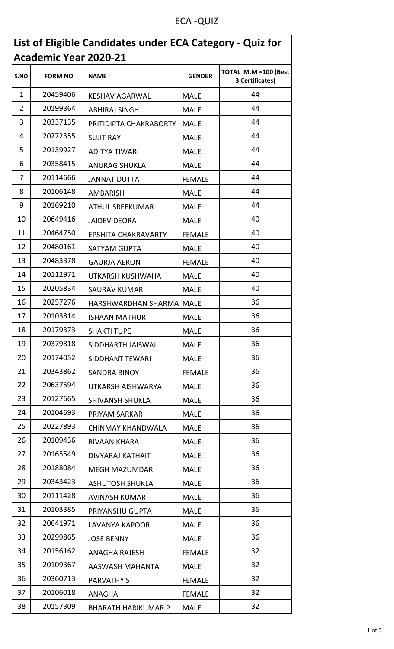## ECA -QUIZ

| List of Eligible Candidates under ECA Category - Quiz for |                |                            |               |                                          |
|-----------------------------------------------------------|----------------|----------------------------|---------------|------------------------------------------|
| <b>Academic Year 2020-21</b>                              |                |                            |               |                                          |
| S.NO                                                      | <b>FORM NO</b> | <b>NAME</b>                | <b>GENDER</b> | TOTAL M.M = 100 (Best<br>3 Certificates) |
| $\mathbf{1}$                                              | 20459406       | <b>KESHAV AGARWAL</b>      | <b>MALE</b>   | 44                                       |
| $\overline{2}$                                            | 20199364       | <b>ABHIRAJ SINGH</b>       | <b>MALE</b>   | 44                                       |
| 3                                                         | 20337135       | PRITIDIPTA CHAKRABORTY     | <b>MALE</b>   | 44                                       |
| 4                                                         | 20272355       | <b>SUJIT RAY</b>           | <b>MALE</b>   | 44                                       |
| 5                                                         | 20139927       | <b>ADITYA TIWARI</b>       | <b>MALE</b>   | 44                                       |
| 6                                                         | 20358415       | <b>ANURAG SHUKLA</b>       | <b>MALE</b>   | 44                                       |
| 7                                                         | 20114666       | <b>JANNAT DUTTA</b>        | <b>FEMALE</b> | 44                                       |
| 8                                                         | 20106148       | AMBARISH                   | <b>MALE</b>   | 44                                       |
| 9                                                         | 20169210       | ATHUL SREEKUMAR            | <b>MALE</b>   | 44                                       |
| 10                                                        | 20649416       | <b>JAIDEV DEORA</b>        | <b>MALE</b>   | 40                                       |
| 11                                                        | 20464750       | <b>EPSHITA CHAKRAVARTY</b> | <b>FEMALE</b> | 40                                       |
| 12                                                        | 20480161       | SATYAM GUPTA               | <b>MALE</b>   | 40                                       |
| 13                                                        | 20483378       | <b>GAURJA AERON</b>        | <b>FEMALE</b> | 40                                       |
| 14                                                        | 20112971       | UTKARSH KUSHWAHA           | <b>MALE</b>   | 40                                       |
| 15                                                        | 20205834       | <b>SAURAV KUMAR</b>        | <b>MALE</b>   | 40                                       |
| 16                                                        | 20257276       | HARSHWARDHAN SHARMA        | <b>MALE</b>   | 36                                       |
| 17                                                        | 20103814       | <b>ISHAAN MATHUR</b>       | <b>MALE</b>   | 36                                       |
| 18                                                        | 20179373       | <b>SHAKTI TUPE</b>         | <b>MALE</b>   | 36                                       |
| 19                                                        | 20379818       | SIDDHARTH JAISWAL          | <b>MALE</b>   | 36                                       |
| 20                                                        | 20174052       | SIDDHANT TEWARI            | <b>MALE</b>   | 36                                       |
| 21                                                        | 20343862       | <b>SANDRA BINOY</b>        | <b>FEMALE</b> | 36                                       |
| 22                                                        | 20637594       | UTKARSH AISHWARYA          | <b>MALE</b>   | 36                                       |
| 23                                                        | 20127665       | <b>SHIVANSH SHUKLA</b>     | <b>MALE</b>   | 36                                       |
| 24                                                        | 20104693       | PRIYAM SARKAR              | <b>MALE</b>   | 36                                       |
| 25                                                        | 20227893       | CHINMAY KHANDWALA          | <b>MALE</b>   | 36                                       |
| 26                                                        | 20109436       | RIVAAN KHARA               | <b>MALE</b>   | 36                                       |
| 27                                                        | 20165549       | DIVYARAJ KATHAIT           | <b>MALE</b>   | 36                                       |
| 28                                                        | 20188084       | <b>MEGH MAZUMDAR</b>       | <b>MALE</b>   | 36                                       |
| 29                                                        | 20343423       | <b>ASHUTOSH SHUKLA</b>     | <b>MALE</b>   | 36                                       |
| 30                                                        | 20111428       | AVINASH KUMAR              | <b>MALE</b>   | 36                                       |
| 31                                                        | 20103385       | PRIYANSHU GUPTA            | <b>MALE</b>   | 36                                       |
| 32                                                        | 20641971       | <b>LAVANYA KAPOOR</b>      | <b>MALE</b>   | 36                                       |
| 33                                                        | 20299865       | <b>JOSE BENNY</b>          | <b>MALE</b>   | 36                                       |
| 34                                                        | 20156162       | <b>ANAGHA RAJESH</b>       | <b>FEMALE</b> | 32                                       |
| 35                                                        | 20109367       | AASWASH MAHANTA            | <b>MALE</b>   | 32                                       |
| 36                                                        | 20360713       | <b>PARVATHY S</b>          | <b>FEMALE</b> | 32                                       |
| 37                                                        | 20106018       | ANAGHA                     | <b>FEMALE</b> | 32                                       |
| 38                                                        | 20157309       | <b>BHARATH HARIKUMAR P</b> | <b>MALE</b>   | 32                                       |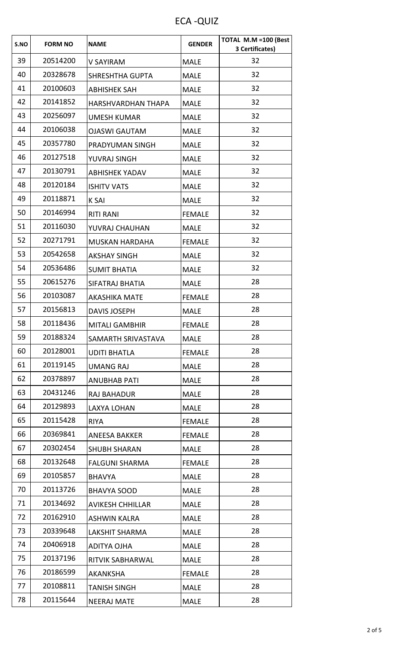ECA -QUIZ

| S.NO | <b>FORM NO</b> | <b>NAME</b>               | <b>GENDER</b> | TOTAL M.M = 100 (Best<br>3 Certificates) |
|------|----------------|---------------------------|---------------|------------------------------------------|
| 39   | 20514200       | V SAYIRAM                 | <b>MALE</b>   | 32                                       |
| 40   | 20328678       | <b>SHRESHTHA GUPTA</b>    | <b>MALE</b>   | 32                                       |
| 41   | 20100603       | <b>ABHISHEK SAH</b>       | <b>MALE</b>   | 32                                       |
| 42   | 20141852       | <b>HARSHVARDHAN THAPA</b> | <b>MALE</b>   | 32                                       |
| 43   | 20256097       | <b>UMESH KUMAR</b>        | <b>MALE</b>   | 32                                       |
| 44   | 20106038       | <b>OJASWI GAUTAM</b>      | <b>MALE</b>   | 32                                       |
| 45   | 20357780       | PRADYUMAN SINGH           | <b>MALE</b>   | 32                                       |
| 46   | 20127518       | YUVRAJ SINGH              | <b>MALE</b>   | 32                                       |
| 47   | 20130791       | <b>ABHISHEK YADAV</b>     | <b>MALE</b>   | 32                                       |
| 48   | 20120184       | <b>ISHITV VATS</b>        | <b>MALE</b>   | 32                                       |
| 49   | 20118871       | <b>K SAI</b>              | <b>MALE</b>   | 32                                       |
| 50   | 20146994       | <b>RITI RANI</b>          | <b>FEMALE</b> | 32                                       |
| 51   | 20116030       | YUVRAJ CHAUHAN            | <b>MALE</b>   | 32                                       |
| 52   | 20271791       | <b>MUSKAN HARDAHA</b>     | <b>FEMALE</b> | 32                                       |
| 53   | 20542658       | <b>AKSHAY SINGH</b>       | <b>MALE</b>   | 32                                       |
| 54   | 20536486       | <b>SUMIT BHATIA</b>       | <b>MALE</b>   | 32                                       |
| 55   | 20615276       | SIFATRAJ BHATIA           | <b>MALE</b>   | 28                                       |
| 56   | 20103087       | <b>AKASHIKA MATE</b>      | <b>FEMALE</b> | 28                                       |
| 57   | 20156813       | <b>DAVIS JOSEPH</b>       | <b>MALE</b>   | 28                                       |
| 58   | 20118436       | <b>MITALI GAMBHIR</b>     | <b>FEMALE</b> | 28                                       |
| 59   | 20188324       | SAMARTH SRIVASTAVA        | <b>MALE</b>   | 28                                       |
| 60   | 20128001       | <b>UDITI BHATLA</b>       | <b>FEMALE</b> | 28                                       |
| 61   | 20119145       | <b>UMANG RAJ</b>          | <b>MALE</b>   | 28                                       |
| 62   | 20378897       | <b>ANUBHAB PATI</b>       | <b>MALE</b>   | 28                                       |
| 63   | 20431246       | <b>RAJ BAHADUR</b>        | <b>MALE</b>   | 28                                       |
| 64   | 20129893       | LAXYA LOHAN               | <b>MALE</b>   | 28                                       |
| 65   | 20115428       | <b>RIYA</b>               | <b>FEMALE</b> | 28                                       |
| 66   | 20369841       | <b>ANEESA BAKKER</b>      | <b>FEMALE</b> | 28                                       |
| 67   | 20302454       | <b>SHUBH SHARAN</b>       | <b>MALE</b>   | 28                                       |
| 68   | 20132648       | <b>FALGUNI SHARMA</b>     | <b>FEMALE</b> | 28                                       |
| 69   | 20105857       | <b>BHAVYA</b>             | <b>MALE</b>   | 28                                       |
| 70   | 20113726       | <b>BHAVYA SOOD</b>        | <b>MALE</b>   | 28                                       |
| 71   | 20134692       | <b>AVIKESH CHHILLAR</b>   | <b>MALE</b>   | 28                                       |
| 72   | 20162910       | <b>ASHWIN KALRA</b>       | <b>MALE</b>   | 28                                       |
| 73   | 20339648       | LAKSHIT SHARMA            | <b>MALE</b>   | 28                                       |
| 74   | 20406918       | ADITYA OJHA               | <b>MALE</b>   | 28                                       |
| 75   | 20137196       | RITVIK SABHARWAL          | <b>MALE</b>   | 28                                       |
| 76   | 20186599       | AKANKSHA                  | <b>FEMALE</b> | 28                                       |
| 77   | 20108811       | <b>TANISH SINGH</b>       | <b>MALE</b>   | 28                                       |
| 78   | 20115644       | <b>NEERAJ MATE</b>        | <b>MALE</b>   | 28                                       |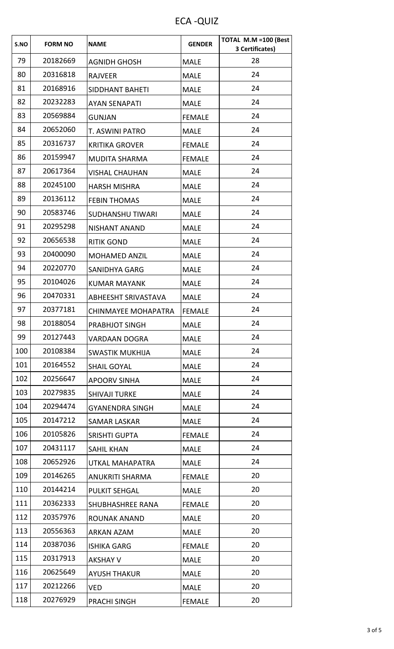ECA -QUIZ

| S.NO | <b>FORM NO</b> | <b>NAME</b>             | <b>GENDER</b> | TOTAL M.M =100 (Best<br>3 Certificates) |
|------|----------------|-------------------------|---------------|-----------------------------------------|
| 79   | 20182669       | <b>AGNIDH GHOSH</b>     | <b>MALE</b>   | 28                                      |
| 80   | 20316818       | <b>RAJVEER</b>          | <b>MALE</b>   | 24                                      |
| 81   | 20168916       | SIDDHANT BAHETI         | <b>MALE</b>   | 24                                      |
| 82   | 20232283       | <b>AYAN SENAPATI</b>    | <b>MALE</b>   | 24                                      |
| 83   | 20569884       | <b>GUNJAN</b>           | <b>FEMALE</b> | 24                                      |
| 84   | 20652060       | T. ASWINI PATRO         | <b>MALE</b>   | 24                                      |
| 85   | 20316737       | <b>KRITIKA GROVER</b>   | <b>FEMALE</b> | 24                                      |
| 86   | 20159947       | <b>MUDITA SHARMA</b>    | <b>FEMALE</b> | 24                                      |
| 87   | 20617364       | <b>VISHAL CHAUHAN</b>   | <b>MALE</b>   | 24                                      |
| 88   | 20245100       | <b>HARSH MISHRA</b>     | <b>MALE</b>   | 24                                      |
| 89   | 20136112       | <b>FEBIN THOMAS</b>     | <b>MALE</b>   | 24                                      |
| 90   | 20583746       | <b>SUDHANSHU TIWARI</b> | <b>MALE</b>   | 24                                      |
| 91   | 20295298       | <b>NISHANT ANAND</b>    | <b>MALE</b>   | 24                                      |
| 92   | 20656538       | <b>RITIK GOND</b>       | <b>MALE</b>   | 24                                      |
| 93   | 20400090       | <b>MOHAMED ANZIL</b>    | <b>MALE</b>   | 24                                      |
| 94   | 20220770       | <b>SANIDHYA GARG</b>    | <b>MALE</b>   | 24                                      |
| 95   | 20104026       | <b>KUMAR MAYANK</b>     | <b>MALE</b>   | 24                                      |
| 96   | 20470331       | ABHEESHT SRIVASTAVA     | <b>MALE</b>   | 24                                      |
| 97   | 20377181       | CHINMAYEE MOHAPATRA     | <b>FEMALE</b> | 24                                      |
| 98   | 20188054       | PRABHJOT SINGH          | <b>MALE</b>   | 24                                      |
| 99   | 20127443       | <b>VARDAAN DOGRA</b>    | <b>MALE</b>   | 24                                      |
| 100  | 20108384       | <b>SWASTIK MUKHIJA</b>  | <b>MALE</b>   | 24                                      |
| 101  | 20164552       | <b>SHAIL GOYAL</b>      | <b>MALE</b>   | 24                                      |
| 102  | 20256647       | <b>APOORV SINHA</b>     | <b>MALE</b>   | 24                                      |
| 103  | 20279835       | <b>SHIVAJI TURKE</b>    | <b>MALE</b>   | 24                                      |
| 104  | 20294474       | <b>GYANENDRA SINGH</b>  | <b>MALE</b>   | 24                                      |
| 105  | 20147212       | <b>SAMAR LASKAR</b>     | <b>MALE</b>   | 24                                      |
| 106  | 20105826       | <b>SRISHTI GUPTA</b>    | <b>FEMALE</b> | 24                                      |
| 107  | 20431117       | <b>SAHIL KHAN</b>       | <b>MALE</b>   | 24                                      |
| 108  | 20652926       | UTKAL MAHAPATRA         | <b>MALE</b>   | 24                                      |
| 109  | 20146265       | ANUKRITI SHARMA         | <b>FEMALE</b> | 20                                      |
| 110  | 20144214       | <b>PULKIT SEHGAL</b>    | <b>MALE</b>   | 20                                      |
| 111  | 20362333       | <b>SHUBHASHREE RANA</b> | <b>FEMALE</b> | 20                                      |
| 112  | 20357976       | <b>ROUNAK ANAND</b>     | <b>MALE</b>   | 20                                      |
| 113  | 20556363       | ARKAN AZAM              | <b>MALE</b>   | 20                                      |
| 114  | 20387036       | <b>ISHIKA GARG</b>      | <b>FEMALE</b> | 20                                      |
| 115  | 20317913       | <b>AKSHAY V</b>         | <b>MALE</b>   | 20                                      |
| 116  | 20625649       | <b>AYUSH THAKUR</b>     | <b>MALE</b>   | 20                                      |
| 117  | 20212266       | VED                     | <b>MALE</b>   | 20                                      |
| 118  | 20276929       | PRACHI SINGH            | <b>FEMALE</b> | 20                                      |